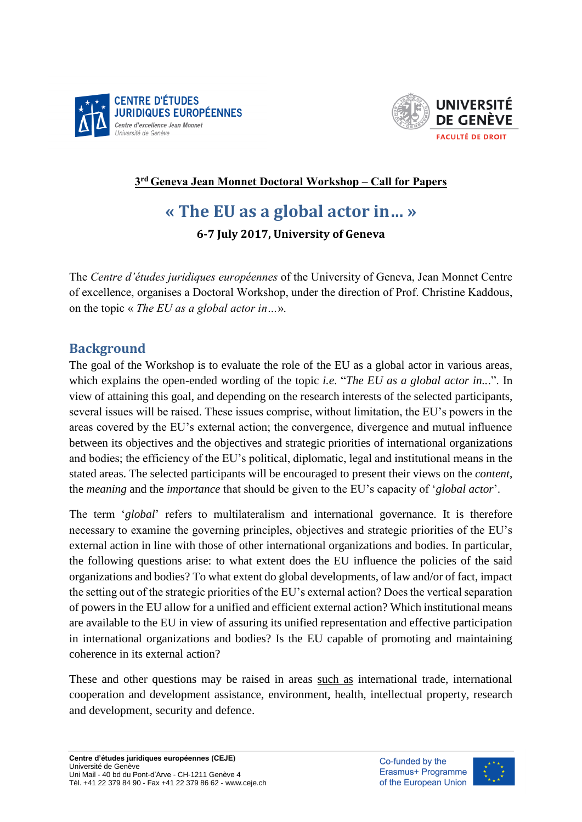



#### **3 rd Geneva Jean Monnet Doctoral Workshop – Call for Papers**

# **« The EU as a global actor in… »**

**6-7 July 2017, University of Geneva**

The *Centre d'études juridiques européennes* of the University of Geneva, Jean Monnet Centre of excellence, organises a Doctoral Workshop, under the direction of Prof. Christine Kaddous, on the topic « *The EU as a global actor in…*».

#### **Background**

The goal of the Workshop is to evaluate the role of the EU as a global actor in various areas, which explains the open-ended wording of the topic *i.e*. "*The EU as a global actor in..*.". In view of attaining this goal, and depending on the research interests of the selected participants, several issues will be raised. These issues comprise, without limitation, the EU's powers in the areas covered by the EU's external action; the convergence, divergence and mutual influence between its objectives and the objectives and strategic priorities of international organizations and bodies; the efficiency of the EU's political, diplomatic, legal and institutional means in the stated areas. The selected participants will be encouraged to present their views on the *content*, the *meaning* and the *importance* that should be given to the EU's capacity of '*global actor*'.

The term '*global*' refers to multilateralism and international governance. It is therefore necessary to examine the governing principles, objectives and strategic priorities of the EU's external action in line with those of other international organizations and bodies. In particular, the following questions arise: to what extent does the EU influence the policies of the said organizations and bodies? To what extent do global developments, of law and/or of fact, impact the setting out of the strategic priorities of the EU's external action? Does the vertical separation of powers in the EU allow for a unified and efficient external action? Which institutional means are available to the EU in view of assuring its unified representation and effective participation in international organizations and bodies? Is the EU capable of promoting and maintaining coherence in its external action?

These and other questions may be raised in areas such as international trade, international cooperation and development assistance, environment, health, intellectual property, research and development, security and defence.

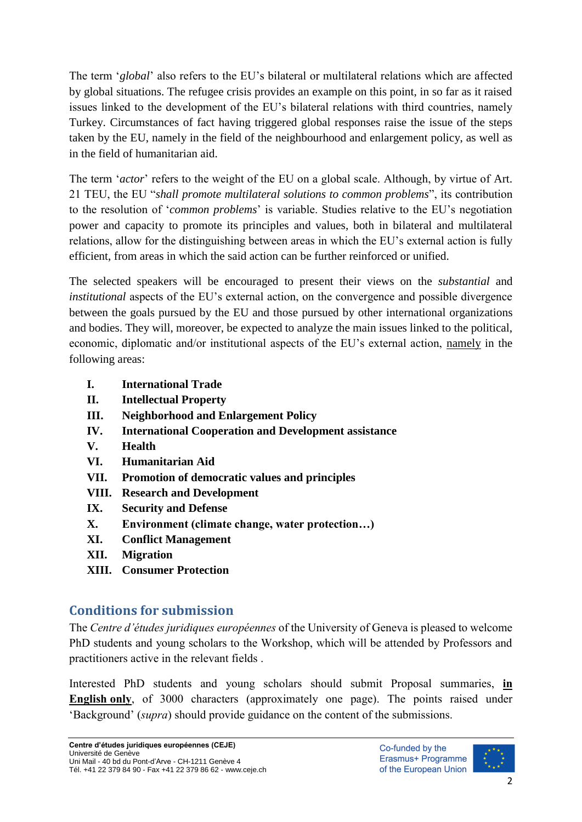The term '*global*' also refers to the EU's bilateral or multilateral relations which are affected by global situations. The refugee crisis provides an example on this point, in so far as it raised issues linked to the development of the EU's bilateral relations with third countries, namely Turkey. Circumstances of fact having triggered global responses raise the issue of the steps taken by the EU, namely in the field of the neighbourhood and enlargement policy, as well as in the field of humanitarian aid.

The term '*actor*' refers to the weight of the EU on a global scale. Although, by virtue of Art. 21 TEU, the EU "*shall promote multilateral solutions to common problems*", its contribution to the resolution of '*common problems*' is variable. Studies relative to the EU's negotiation power and capacity to promote its principles and values, both in bilateral and multilateral relations, allow for the distinguishing between areas in which the EU's external action is fully efficient, from areas in which the said action can be further reinforced or unified.

The selected speakers will be encouraged to present their views on the *substantial* and *institutional* aspects of the EU's external action, on the convergence and possible divergence between the goals pursued by the EU and those pursued by other international organizations and bodies. They will, moreover, be expected to analyze the main issues linked to the political, economic, diplomatic and/or institutional aspects of the EU's external action, namely in the following areas:

- **I. International Trade**
- **II. Intellectual Property**
- **III. Neighborhood and Enlargement Policy**
- **IV. International Cooperation and Development assistance**
- **V. Health**
- **VI. Humanitarian Aid**
- **VII. Promotion of democratic values and principles**
- **VIII. Research and Development**
- **IX. Security and Defense**
- **X. Environment (climate change, water protection…)**
- **XI. Conflict Management**
- **XII. Migration**
- **XIII. Consumer Protection**

## **Conditions for submission**

The *Centre d'études juridiques européennes* of the University of Geneva is pleased to welcome PhD students and young scholars to the Workshop, which will be attended by Professors and practitioners active in the relevant fields .

Interested PhD students and young scholars should submit Proposal summaries, **in English only**, of 3000 characters (approximately one page). The points raised under 'Background' (*supra*) should provide guidance on the content of the submissions.